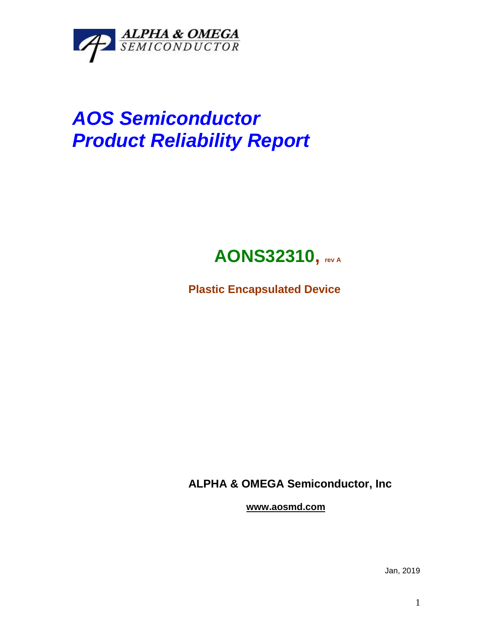

# *AOS Semiconductor Product Reliability Report*

## **AONS32310, rev <sup>A</sup>**

**Plastic Encapsulated Device**

**ALPHA & OMEGA Semiconductor, Inc**

**www.aosmd.com**

Jan, 2019